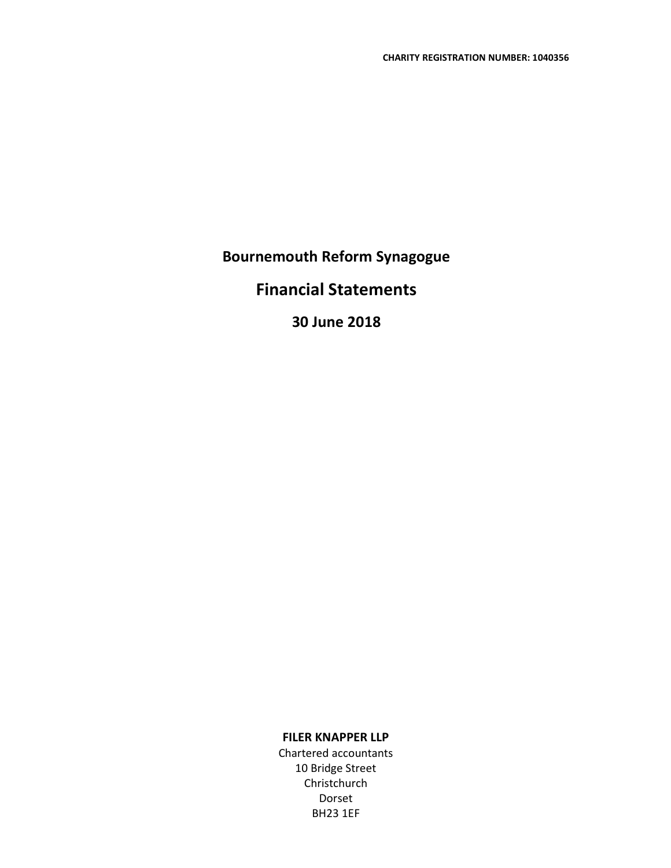# Financial Statements

# 30 June 2018

## FILER KNAPPER LLP

Chartered accountants 10 Bridge Street Christchurch Dorset BH23 1EF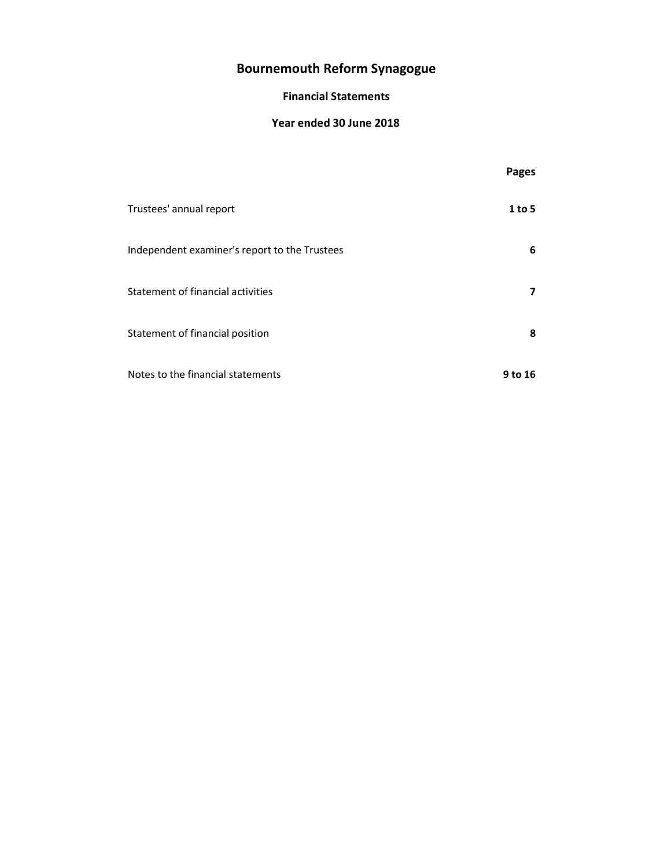## Financial Statements

## Year ended 30 June 2018

|                                               | Pages   |
|-----------------------------------------------|---------|
| Trustees' annual report                       | 1 to 5  |
| Independent examiner's report to the Trustees | 6       |
| Statement of financial activities             | 7       |
| Statement of financial position               | 8       |
| Notes to the financial statements             | 9 to 16 |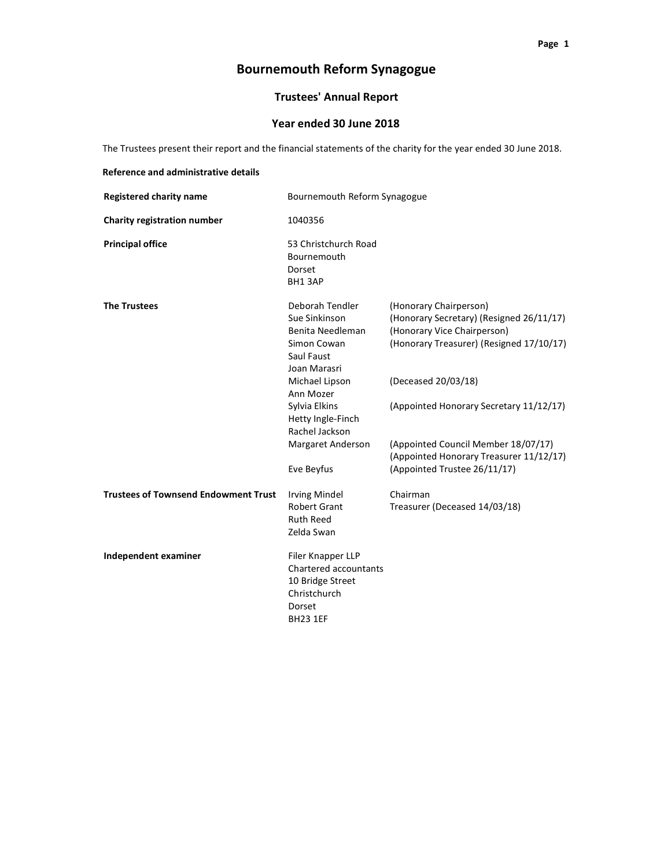## Trustees' Annual Report

## Year ended 30 June 2018

The Trustees present their report and the financial statements of the charity for the year ended 30 June 2018.

| Reference and administrative details        |                                                                                                                                                                                                               |                                                                                                                                                                                                                                                                                                   |
|---------------------------------------------|---------------------------------------------------------------------------------------------------------------------------------------------------------------------------------------------------------------|---------------------------------------------------------------------------------------------------------------------------------------------------------------------------------------------------------------------------------------------------------------------------------------------------|
| <b>Registered charity name</b>              | Bournemouth Reform Synagogue                                                                                                                                                                                  |                                                                                                                                                                                                                                                                                                   |
| Charity registration number                 | 1040356                                                                                                                                                                                                       |                                                                                                                                                                                                                                                                                                   |
| <b>Principal office</b>                     | 53 Christchurch Road<br>Bournemouth<br>Dorset<br>BH13AP                                                                                                                                                       |                                                                                                                                                                                                                                                                                                   |
| <b>The Trustees</b>                         | Deborah Tendler<br>Sue Sinkinson<br>Benita Needleman<br>Simon Cowan<br>Saul Faust<br>Joan Marasri<br>Michael Lipson<br>Ann Mozer<br>Sylvia Elkins<br>Hetty Ingle-Finch<br>Rachel Jackson<br>Margaret Anderson | (Honorary Chairperson)<br>(Honorary Secretary) (Resigned 26/11/17)<br>(Honorary Vice Chairperson)<br>(Honorary Treasurer) (Resigned 17/10/17)<br>(Deceased 20/03/18)<br>(Appointed Honorary Secretary 11/12/17)<br>(Appointed Council Member 18/07/17)<br>(Appointed Honorary Treasurer 11/12/17) |
|                                             | Eve Beyfus                                                                                                                                                                                                    | (Appointed Trustee 26/11/17)                                                                                                                                                                                                                                                                      |
| <b>Trustees of Townsend Endowment Trust</b> | <b>Irving Mindel</b><br>Robert Grant<br><b>Ruth Reed</b><br>Zelda Swan                                                                                                                                        | Chairman<br>Treasurer (Deceased 14/03/18)                                                                                                                                                                                                                                                         |
| Independent examiner                        | Filer Knapper LLP<br>Chartered accountants<br>10 Bridge Street<br>Christchurch<br>Dorset<br><b>BH23 1EF</b>                                                                                                   |                                                                                                                                                                                                                                                                                                   |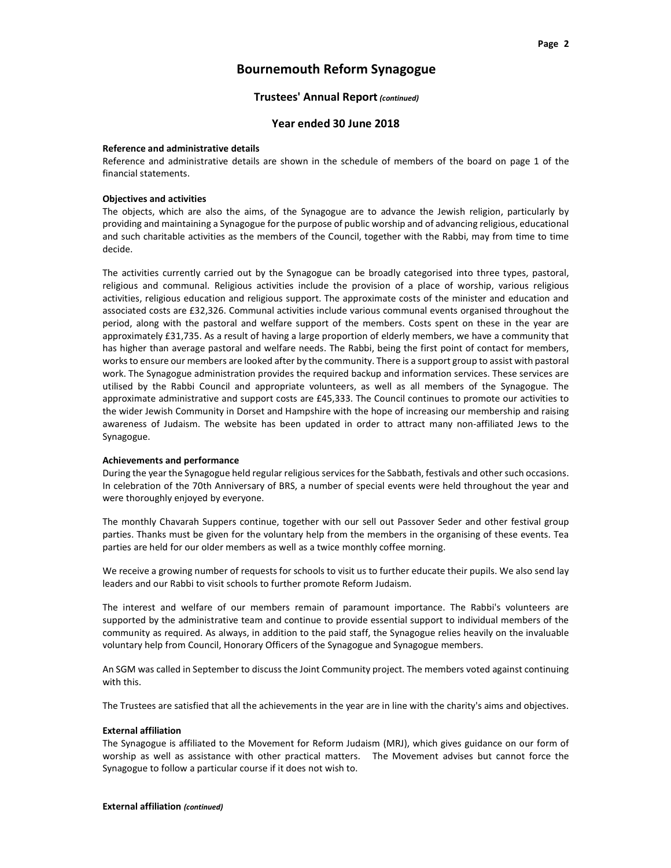## Trustees' Annual Report (continued)

#### Year ended 30 June 2018

#### Reference and administrative details

Reference and administrative details are shown in the schedule of members of the board on page 1 of the financial statements.

#### Objectives and activities

The objects, which are also the aims, of the Synagogue are to advance the Jewish religion, particularly by providing and maintaining a Synagogue for the purpose of public worship and of advancing religious, educational and such charitable activities as the members of the Council, together with the Rabbi, may from time to time decide.

The activities currently carried out by the Synagogue can be broadly categorised into three types, pastoral, religious and communal. Religious activities include the provision of a place of worship, various religious activities, religious education and religious support. The approximate costs of the minister and education and associated costs are £32,326. Communal activities include various communal events organised throughout the period, along with the pastoral and welfare support of the members. Costs spent on these in the year are approximately £31,735. As a result of having a large proportion of elderly members, we have a community that has higher than average pastoral and welfare needs. The Rabbi, being the first point of contact for members, works to ensure our members are looked after by the community. There is a support group to assist with pastoral work. The Synagogue administration provides the required backup and information services. These services are utilised by the Rabbi Council and appropriate volunteers, as well as all members of the Synagogue. The approximate administrative and support costs are £45,333. The Council continues to promote our activities to the wider Jewish Community in Dorset and Hampshire with the hope of increasing our membership and raising awareness of Judaism. The website has been updated in order to attract many non-affiliated Jews to the Synagogue.

#### Achievements and performance

During the year the Synagogue held regular religious services for the Sabbath, festivals and other such occasions. In celebration of the 70th Anniversary of BRS, a number of special events were held throughout the year and were thoroughly enjoyed by everyone.

The monthly Chavarah Suppers continue, together with our sell out Passover Seder and other festival group parties. Thanks must be given for the voluntary help from the members in the organising of these events. Tea parties are held for our older members as well as a twice monthly coffee morning.

We receive a growing number of requests for schools to visit us to further educate their pupils. We also send lay leaders and our Rabbi to visit schools to further promote Reform Judaism.

The interest and welfare of our members remain of paramount importance. The Rabbi's volunteers are supported by the administrative team and continue to provide essential support to individual members of the community as required. As always, in addition to the paid staff, the Synagogue relies heavily on the invaluable voluntary help from Council, Honorary Officers of the Synagogue and Synagogue members.

An SGM was called in September to discuss the Joint Community project. The members voted against continuing with this.

The Trustees are satisfied that all the achievements in the year are in line with the charity's aims and objectives.

#### External affiliation

The Synagogue is affiliated to the Movement for Reform Judaism (MRJ), which gives guidance on our form of worship as well as assistance with other practical matters. The Movement advises but cannot force the Synagogue to follow a particular course if it does not wish to.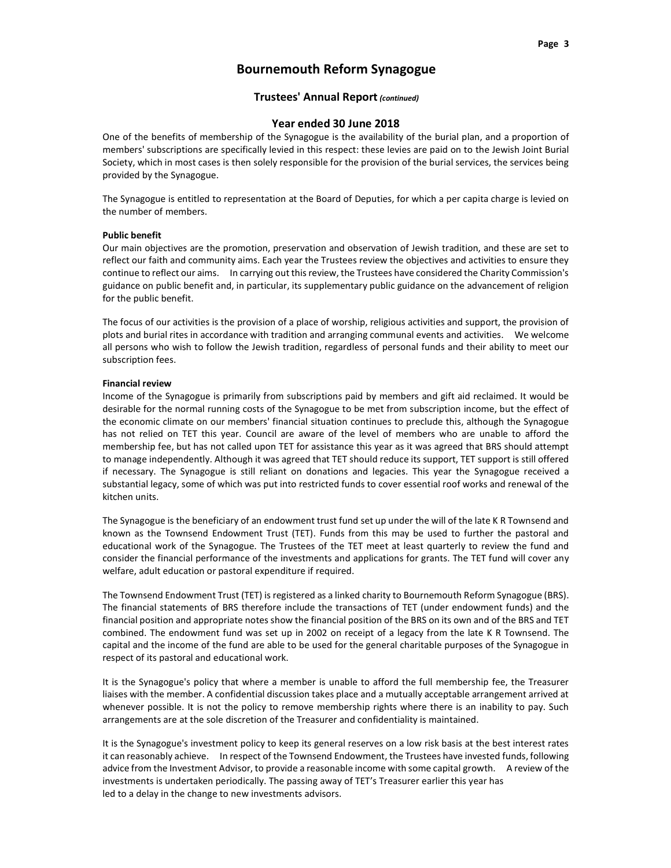### Trustees' Annual Report (continued)

#### Year ended 30 June 2018

One of the benefits of membership of the Synagogue is the availability of the burial plan, and a proportion of members' subscriptions are specifically levied in this respect: these levies are paid on to the Jewish Joint Burial Society, which in most cases is then solely responsible for the provision of the burial services, the services being provided by the Synagogue.

The Synagogue is entitled to representation at the Board of Deputies, for which a per capita charge is levied on the number of members.

#### Public benefit

Our main objectives are the promotion, preservation and observation of Jewish tradition, and these are set to reflect our faith and community aims. Each year the Trustees review the objectives and activities to ensure they continue to reflect our aims. In carrying out this review, the Trustees have considered the Charity Commission's guidance on public benefit and, in particular, its supplementary public guidance on the advancement of religion for the public benefit.

The focus of our activities is the provision of a place of worship, religious activities and support, the provision of plots and burial rites in accordance with tradition and arranging communal events and activities. We welcome all persons who wish to follow the Jewish tradition, regardless of personal funds and their ability to meet our subscription fees.

#### Financial review

Income of the Synagogue is primarily from subscriptions paid by members and gift aid reclaimed. It would be desirable for the normal running costs of the Synagogue to be met from subscription income, but the effect of the economic climate on our members' financial situation continues to preclude this, although the Synagogue has not relied on TET this year. Council are aware of the level of members who are unable to afford the membership fee, but has not called upon TET for assistance this year as it was agreed that BRS should attempt to manage independently. Although it was agreed that TET should reduce its support, TET support is still offered if necessary. The Synagogue is still reliant on donations and legacies. This year the Synagogue received a substantial legacy, some of which was put into restricted funds to cover essential roof works and renewal of the kitchen units.

The Synagogue is the beneficiary of an endowment trust fund set up under the will of the late K R Townsend and known as the Townsend Endowment Trust (TET). Funds from this may be used to further the pastoral and educational work of the Synagogue. The Trustees of the TET meet at least quarterly to review the fund and consider the financial performance of the investments and applications for grants. The TET fund will cover any welfare, adult education or pastoral expenditure if required.

The Townsend Endowment Trust (TET) is registered as a linked charity to Bournemouth Reform Synagogue (BRS). The financial statements of BRS therefore include the transactions of TET (under endowment funds) and the financial position and appropriate notes show the financial position of the BRS on its own and of the BRS and TET combined. The endowment fund was set up in 2002 on receipt of a legacy from the late K R Townsend. The capital and the income of the fund are able to be used for the general charitable purposes of the Synagogue in respect of its pastoral and educational work.

It is the Synagogue's policy that where a member is unable to afford the full membership fee, the Treasurer liaises with the member. A confidential discussion takes place and a mutually acceptable arrangement arrived at whenever possible. It is not the policy to remove membership rights where there is an inability to pay. Such arrangements are at the sole discretion of the Treasurer and confidentiality is maintained.

It is the Synagogue's investment policy to keep its general reserves on a low risk basis at the best interest rates it can reasonably achieve. In respect of the Townsend Endowment, the Trustees have invested funds, following advice from the Investment Advisor, to provide a reasonable income with some capital growth. A review of the investments is undertaken periodically. The passing away of TET's Treasurer earlier this year has led to a delay in the change to new investments advisors.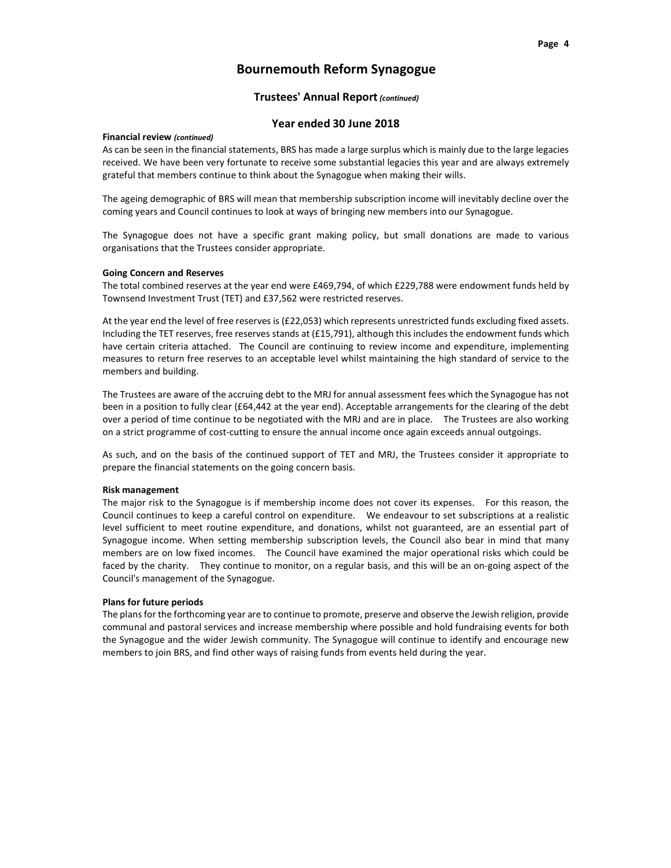#### Trustees' Annual Report (continued)

### Year ended 30 June 2018

#### Financial review (continued)

As can be seen in the financial statements, BRS has made a large surplus which is mainly due to the large legacies received. We have been very fortunate to receive some substantial legacies this year and are always extremely grateful that members continue to think about the Synagogue when making their wills.

The ageing demographic of BRS will mean that membership subscription income will inevitably decline over the coming years and Council continues to look at ways of bringing new members into our Synagogue.

The Synagogue does not have a specific grant making policy, but small donations are made to various organisations that the Trustees consider appropriate.

#### Going Concern and Reserves

The total combined reserves at the year end were £469,794, of which £229,788 were endowment funds held by Townsend Investment Trust (TET) and £37,562 were restricted reserves.

At the year end the level of free reserves is (£22,053) which represents unrestricted funds excluding fixed assets. Including the TET reserves, free reserves stands at (£15,791), although this includes the endowment funds which have certain criteria attached. The Council are continuing to review income and expenditure, implementing measures to return free reserves to an acceptable level whilst maintaining the high standard of service to the members and building.

The Trustees are aware of the accruing debt to the MRJ for annual assessment fees which the Synagogue has not been in a position to fully clear (£64,442 at the year end). Acceptable arrangements for the clearing of the debt over a period of time continue to be negotiated with the MRJ and are in place. The Trustees are also working on a strict programme of cost-cutting to ensure the annual income once again exceeds annual outgoings.

As such, and on the basis of the continued support of TET and MRJ, the Trustees consider it appropriate to prepare the financial statements on the going concern basis.

#### Risk management

The major risk to the Synagogue is if membership income does not cover its expenses. For this reason, the Council continues to keep a careful control on expenditure. We endeavour to set subscriptions at a realistic level sufficient to meet routine expenditure, and donations, whilst not guaranteed, are an essential part of Synagogue income. When setting membership subscription levels, the Council also bear in mind that many members are on low fixed incomes. The Council have examined the major operational risks which could be faced by the charity. They continue to monitor, on a regular basis, and this will be an on-going aspect of the Council's management of the Synagogue.

#### Plans for future periods

The plans for the forthcoming year are to continue to promote, preserve and observe the Jewish religion, provide communal and pastoral services and increase membership where possible and hold fundraising events for both the Synagogue and the wider Jewish community. The Synagogue will continue to identify and encourage new members to join BRS, and find other ways of raising funds from events held during the year.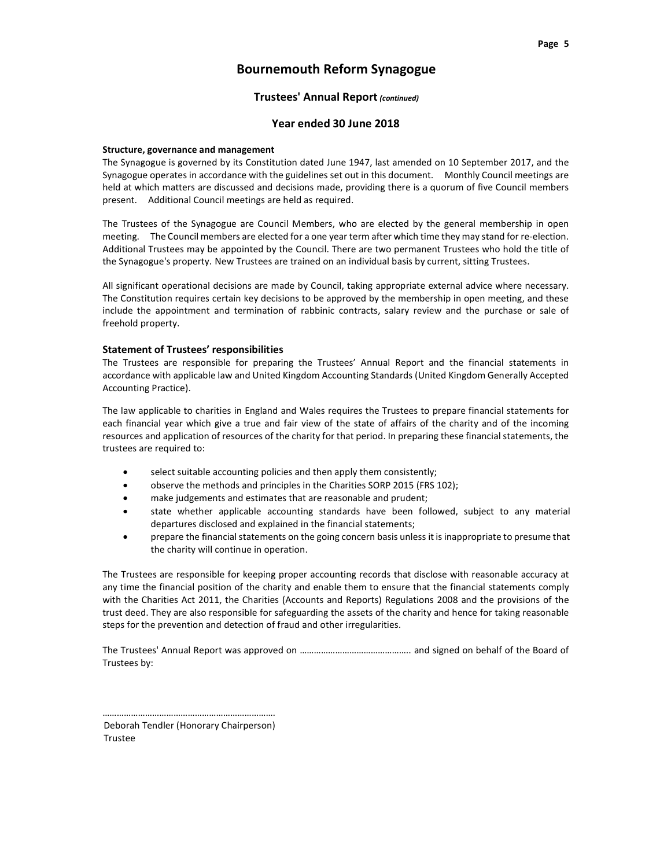### Trustees' Annual Report (continued)

#### Year ended 30 June 2018

#### Structure, governance and management

The Synagogue is governed by its Constitution dated June 1947, last amended on 10 September 2017, and the Synagogue operates in accordance with the guidelines set out in this document. Monthly Council meetings are held at which matters are discussed and decisions made, providing there is a quorum of five Council members present. Additional Council meetings are held as required.

The Trustees of the Synagogue are Council Members, who are elected by the general membership in open meeting. The Council members are elected for a one year term after which time they may stand for re-election. Additional Trustees may be appointed by the Council. There are two permanent Trustees who hold the title of the Synagogue's property. New Trustees are trained on an individual basis by current, sitting Trustees.

All significant operational decisions are made by Council, taking appropriate external advice where necessary. The Constitution requires certain key decisions to be approved by the membership in open meeting, and these include the appointment and termination of rabbinic contracts, salary review and the purchase or sale of freehold property.

#### Statement of Trustees' responsibilities

The Trustees are responsible for preparing the Trustees' Annual Report and the financial statements in accordance with applicable law and United Kingdom Accounting Standards (United Kingdom Generally Accepted Accounting Practice).

The law applicable to charities in England and Wales requires the Trustees to prepare financial statements for each financial year which give a true and fair view of the state of affairs of the charity and of the incoming resources and application of resources of the charity for that period. In preparing these financial statements, the trustees are required to:

- select suitable accounting policies and then apply them consistently;
- observe the methods and principles in the Charities SORP 2015 (FRS 102);
- make judgements and estimates that are reasonable and prudent;
- state whether applicable accounting standards have been followed, subject to any material departures disclosed and explained in the financial statements;
- prepare the financial statements on the going concern basis unless it is inappropriate to presume that the charity will continue in operation.

The Trustees are responsible for keeping proper accounting records that disclose with reasonable accuracy at any time the financial position of the charity and enable them to ensure that the financial statements comply with the Charities Act 2011, the Charities (Accounts and Reports) Regulations 2008 and the provisions of the trust deed. They are also responsible for safeguarding the assets of the charity and hence for taking reasonable steps for the prevention and detection of fraud and other irregularities.

The Trustees' Annual Report was approved on ……………………………………….. and signed on behalf of the Board of Trustees by:

………………………………………………………………. Deborah Tendler (Honorary Chairperson) Trustee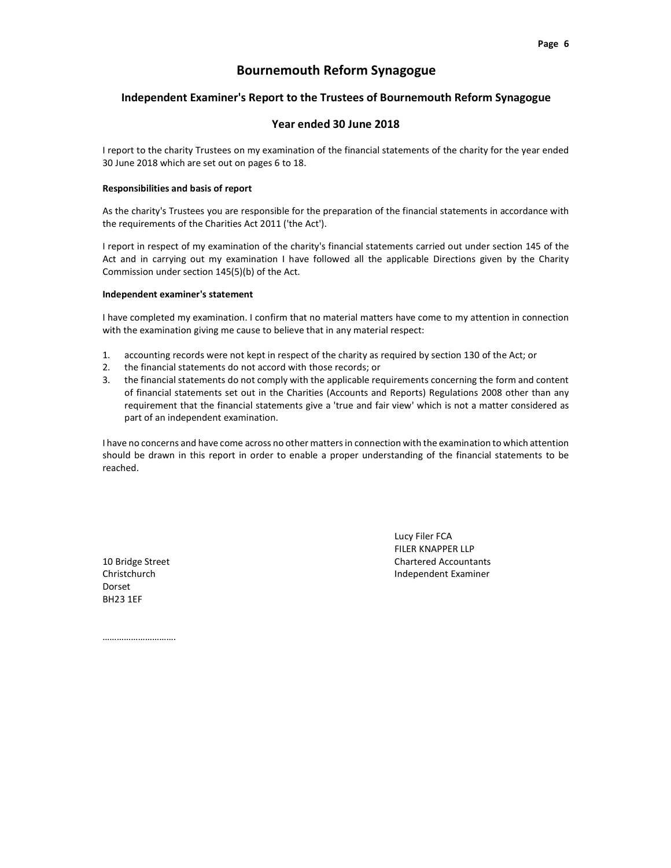#### Independent Examiner's Report to the Trustees of Bournemouth Reform Synagogue

#### Year ended 30 June 2018

I report to the charity Trustees on my examination of the financial statements of the charity for the year ended 30 June 2018 which are set out on pages 6 to 18.

#### Responsibilities and basis of report

As the charity's Trustees you are responsible for the preparation of the financial statements in accordance with the requirements of the Charities Act 2011 ('the Act').

I report in respect of my examination of the charity's financial statements carried out under section 145 of the Act and in carrying out my examination I have followed all the applicable Directions given by the Charity Commission under section 145(5)(b) of the Act.

#### Independent examiner's statement

I have completed my examination. I confirm that no material matters have come to my attention in connection with the examination giving me cause to believe that in any material respect:

- 1. accounting records were not kept in respect of the charity as required by section 130 of the Act; or
- 2. the financial statements do not accord with those records; or
- 3. the financial statements do not comply with the applicable requirements concerning the form and content of financial statements set out in the Charities (Accounts and Reports) Regulations 2008 other than any requirement that the financial statements give a 'true and fair view' which is not a matter considered as part of an independent examination.

I have no concerns and have come across no other matters in connection with the examination to which attention should be drawn in this report in order to enable a proper understanding of the financial statements to be reached.

Dorset BH23 1EF

Lucy Filer FCA FILER KNAPPER LLP 10 Bridge Street **Chartered Accountants** Christchurch Independent Examiner

…………………………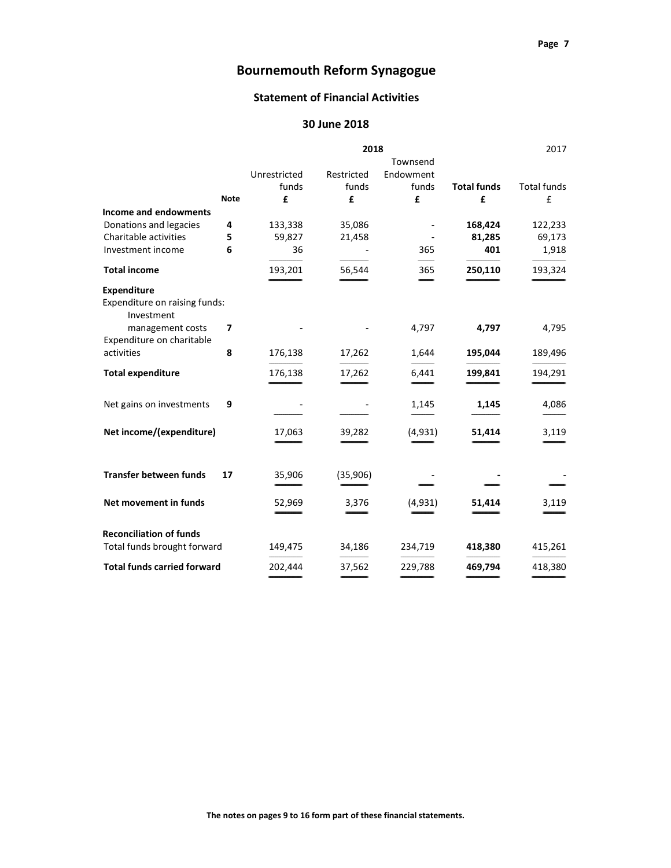## **Statement of Financial Activities**

## 30 June 2018

|                                             |             | 2018         |            |                          | 2017               |             |
|---------------------------------------------|-------------|--------------|------------|--------------------------|--------------------|-------------|
|                                             |             |              |            | Townsend                 |                    |             |
|                                             |             | Unrestricted | Restricted | Endowment                |                    |             |
|                                             |             | funds        | funds      | funds                    | <b>Total funds</b> | Total funds |
|                                             | <b>Note</b> | £            | £          | £                        | £                  | £           |
| Income and endowments                       |             |              |            |                          |                    |             |
| Donations and legacies                      | 4           | 133,338      | 35,086     | $\overline{\phantom{a}}$ | 168,424            | 122,233     |
| Charitable activities                       | 5           | 59,827       | 21,458     | $\overline{\phantom{a}}$ | 81,285             | 69,173      |
| Investment income                           | 6           | 36           |            | 365                      | 401                | 1,918       |
| <b>Total income</b>                         |             | 193,201      | 56,544     | 365                      | 250,110            | 193,324     |
| <b>Expenditure</b>                          |             |              |            |                          |                    |             |
| Expenditure on raising funds:<br>Investment |             |              |            |                          |                    |             |
| management costs                            | 7           |              |            | 4,797                    | 4,797              | 4,795       |
| Expenditure on charitable                   |             |              |            |                          |                    |             |
| activities                                  | 8           | 176,138      | 17,262     | 1,644                    | 195,044            | 189,496     |
| <b>Total expenditure</b>                    |             | 176,138      | 17,262     | 6,441                    | 199,841            | 194,291     |
| Net gains on investments                    | 9           |              |            | 1,145                    | 1,145              | 4,086       |
| Net income/(expenditure)                    |             | 17,063       | 39,282     | (4,931)                  | 51,414             | 3,119       |
| Transfer between funds                      | 17          | 35,906       | (35,906)   |                          |                    |             |
| Net movement in funds                       |             | 52,969       | 3,376      | (4,931)                  | 51,414             | 3,119       |
| <b>Reconciliation of funds</b>              |             |              |            |                          |                    |             |
| Total funds brought forward                 |             | 149,475      | 34,186     | 234,719                  | 418,380            | 415,261     |
| <b>Total funds carried forward</b>          |             | 202,444      | 37,562     | 229,788                  | 469,794            | 418,380     |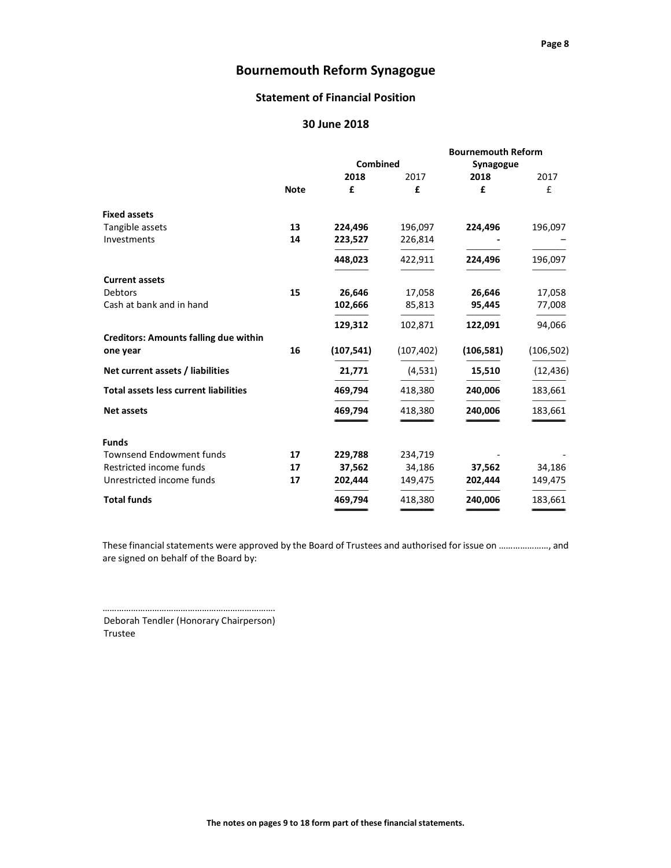## Statement of Financial Position

## 30 June 2018

|                                              |             |            |            | <b>Bournemouth Reform</b> |            |
|----------------------------------------------|-------------|------------|------------|---------------------------|------------|
|                                              |             | Combined   |            | Synagogue                 |            |
|                                              |             | 2018       | 2017       | 2018                      | 2017       |
|                                              | <b>Note</b> | £          | £          | £                         | £          |
| <b>Fixed assets</b>                          |             |            |            |                           |            |
| Tangible assets                              | 13          | 224,496    | 196,097    | 224,496                   | 196,097    |
| Investments                                  | 14          | 223,527    | 226,814    |                           |            |
|                                              |             | 448,023    | 422,911    | 224,496                   | 196,097    |
| <b>Current assets</b>                        |             |            |            |                           |            |
| Debtors                                      | 15          | 26,646     | 17,058     | 26,646                    | 17,058     |
| Cash at bank and in hand                     |             | 102,666    | 85,813     | 95,445                    | 77,008     |
|                                              |             | 129,312    | 102,871    | 122,091                   | 94,066     |
| <b>Creditors: Amounts falling due within</b> |             |            |            |                           |            |
| one year                                     | 16          | (107, 541) | (107, 402) | (106, 581)                | (106, 502) |
| Net current assets / liabilities             |             | 21,771     | (4,531)    | 15,510                    | (12, 436)  |
| <b>Total assets less current liabilities</b> |             | 469,794    | 418,380    | 240,006                   | 183,661    |
| <b>Net assets</b>                            |             | 469,794    | 418,380    | 240,006                   | 183,661    |
| <b>Funds</b>                                 |             |            |            |                           |            |
| <b>Townsend Endowment funds</b>              | 17          | 229,788    | 234,719    |                           |            |
| Restricted income funds                      | 17          | 37,562     | 34,186     | 37,562                    | 34,186     |
| Unrestricted income funds                    | 17          | 202,444    | 149,475    | 202,444                   | 149,475    |
| <b>Total funds</b>                           |             | 469,794    | 418,380    | 240,006                   | 183,661    |
|                                              |             |            |            |                           |            |

These financial statements were approved by the Board of Trustees and authorised for issue on …………………, and are signed on behalf of the Board by:

………………………………………………………………. Deborah Tendler (Honorary Chairperson) Trustee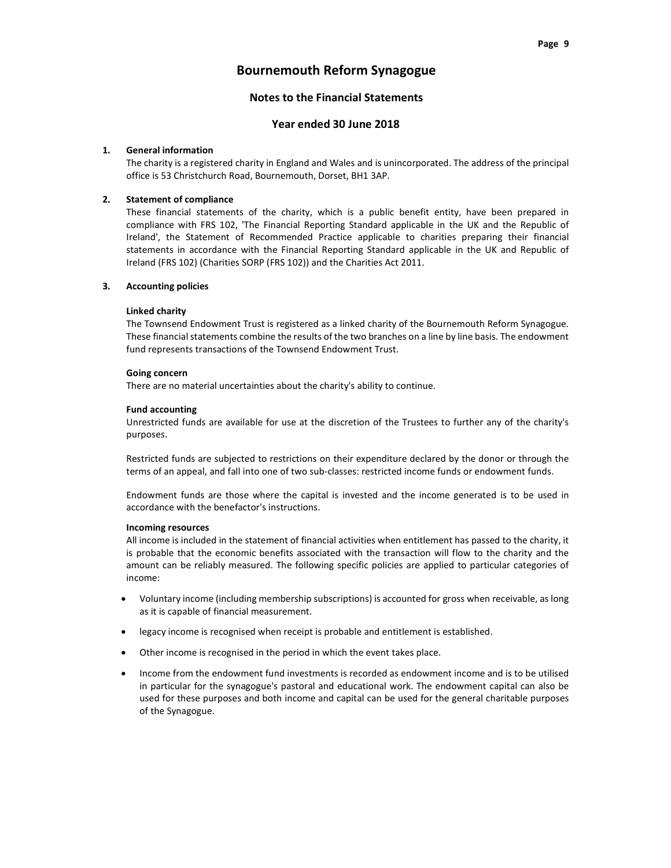## Notes to the Financial Statements

## Year ended 30 June 2018

#### 1. General information

 The charity is a registered charity in England and Wales and is unincorporated. The address of the principal office is 53 Christchurch Road, Bournemouth, Dorset, BH1 3AP.

### 2. Statement of compliance

 These financial statements of the charity, which is a public benefit entity, have been prepared in compliance with FRS 102, 'The Financial Reporting Standard applicable in the UK and the Republic of Ireland', the Statement of Recommended Practice applicable to charities preparing their financial statements in accordance with the Financial Reporting Standard applicable in the UK and Republic of Ireland (FRS 102) (Charities SORP (FRS 102)) and the Charities Act 2011.

#### 3. Accounting policies

#### Linked charity

 The Townsend Endowment Trust is registered as a linked charity of the Bournemouth Reform Synagogue. These financial statements combine the results of the two branches on a line by line basis. The endowment fund represents transactions of the Townsend Endowment Trust.

#### Going concern

There are no material uncertainties about the charity's ability to continue.

#### Fund accounting

 Unrestricted funds are available for use at the discretion of the Trustees to further any of the charity's purposes.

 Restricted funds are subjected to restrictions on their expenditure declared by the donor or through the terms of an appeal, and fall into one of two sub-classes: restricted income funds or endowment funds.

 Endowment funds are those where the capital is invested and the income generated is to be used in accordance with the benefactor's instructions.

#### Incoming resources

 All income is included in the statement of financial activities when entitlement has passed to the charity, it is probable that the economic benefits associated with the transaction will flow to the charity and the amount can be reliably measured. The following specific policies are applied to particular categories of income:

- Voluntary income (including membership subscriptions) is accounted for gross when receivable, as long as it is capable of financial measurement.
- legacy income is recognised when receipt is probable and entitlement is established.
- Other income is recognised in the period in which the event takes place.
- Income from the endowment fund investments is recorded as endowment income and is to be utilised in particular for the synagogue's pastoral and educational work. The endowment capital can also be used for these purposes and both income and capital can be used for the general charitable purposes of the Synagogue.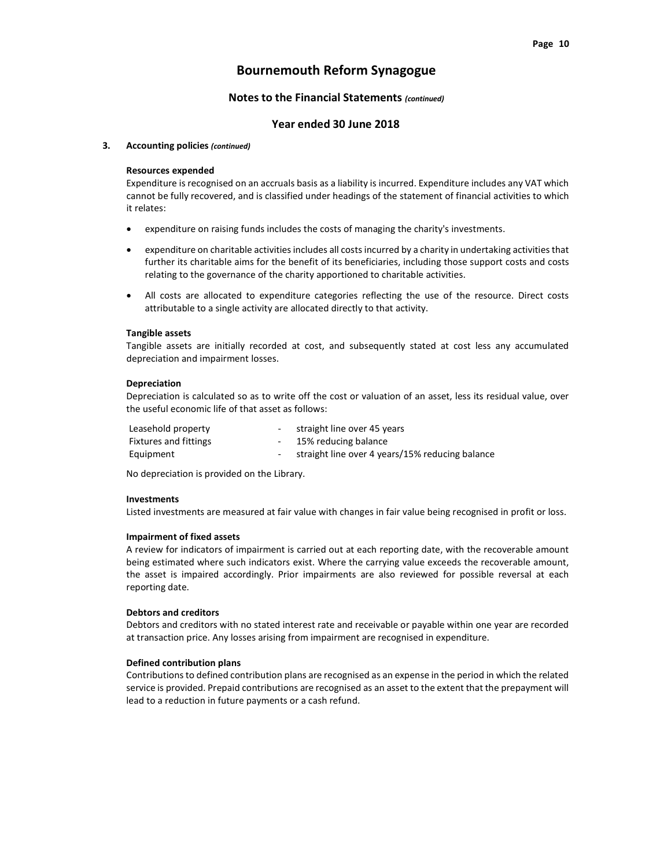#### Notes to the Financial Statements (continued)

#### Year ended 30 June 2018

#### 3. Accounting policies (continued)

#### Resources expended

 Expenditure is recognised on an accruals basis as a liability is incurred. Expenditure includes any VAT which cannot be fully recovered, and is classified under headings of the statement of financial activities to which it relates:

- expenditure on raising funds includes the costs of managing the charity's investments.
- expenditure on charitable activities includes all costs incurred by a charity in undertaking activities that further its charitable aims for the benefit of its beneficiaries, including those support costs and costs relating to the governance of the charity apportioned to charitable activities.
- All costs are allocated to expenditure categories reflecting the use of the resource. Direct costs attributable to a single activity are allocated directly to that activity.

#### Tangible assets

 Tangible assets are initially recorded at cost, and subsequently stated at cost less any accumulated depreciation and impairment losses.

#### Depreciation

 Depreciation is calculated so as to write off the cost or valuation of an asset, less its residual value, over the useful economic life of that asset as follows:

| Leasehold property           | - straight line over 45 years                     |
|------------------------------|---------------------------------------------------|
| <b>Fixtures and fittings</b> | - 15% reducing balance                            |
| Equipment                    | - straight line over 4 years/15% reducing balance |

No depreciation is provided on the Library.

#### Investments

Listed investments are measured at fair value with changes in fair value being recognised in profit or loss.

#### Impairment of fixed assets

 A review for indicators of impairment is carried out at each reporting date, with the recoverable amount being estimated where such indicators exist. Where the carrying value exceeds the recoverable amount, the asset is impaired accordingly. Prior impairments are also reviewed for possible reversal at each reporting date.

#### Debtors and creditors

Debtors and creditors with no stated interest rate and receivable or payable within one year are recorded at transaction price. Any losses arising from impairment are recognised in expenditure.

#### Defined contribution plans

 Contributions to defined contribution plans are recognised as an expense in the period in which the related service is provided. Prepaid contributions are recognised as an asset to the extent that the prepayment will lead to a reduction in future payments or a cash refund.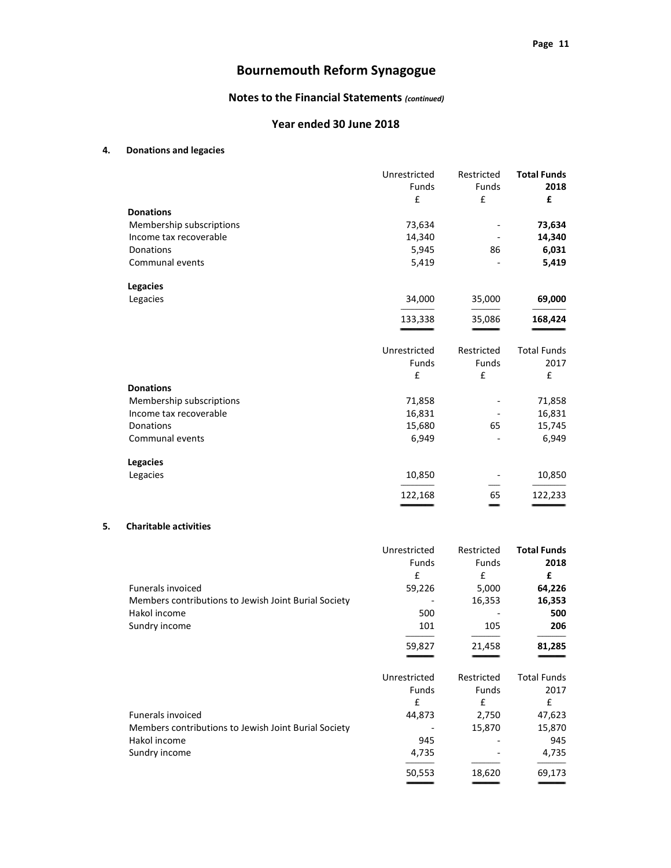## Notes to the Financial Statements (continued)

## Year ended 30 June 2018

### 4. Donations and legacies

|                          | Unrestricted<br>Funds | Restricted<br>Funds | <b>Total Funds</b><br>2018 |
|--------------------------|-----------------------|---------------------|----------------------------|
|                          | £                     | £                   | £                          |
| <b>Donations</b>         |                       |                     |                            |
| Membership subscriptions | 73,634                |                     | 73,634                     |
| Income tax recoverable   | 14,340                |                     | 14,340                     |
| Donations                | 5,945                 | 86                  | 6,031                      |
| Communal events          | 5,419                 |                     | 5,419                      |
| <b>Legacies</b>          |                       |                     |                            |
| Legacies                 | 34,000                | 35,000              | 69,000                     |
|                          | 133,338               | 35,086              | 168,424                    |
|                          | Unrestricted          | Restricted          | <b>Total Funds</b>         |
|                          | <b>Funds</b>          | <b>Funds</b>        | 2017                       |
|                          | £                     | £                   | £                          |
| <b>Donations</b>         |                       |                     |                            |
| Membership subscriptions | 71,858                |                     | 71,858                     |
| Income tax recoverable   | 16,831                |                     | 16,831                     |
| Donations                | 15,680                | 65                  | 15,745                     |
| Communal events          | 6,949                 |                     | 6,949                      |
| <b>Legacies</b>          |                       |                     |                            |
| Legacies                 | 10,850                |                     | 10,850                     |
|                          | 122,168               | 65                  | 122,233                    |

#### 5. Charitable activities

|                                                      | Unrestricted | Restricted   | <b>Total Funds</b> |
|------------------------------------------------------|--------------|--------------|--------------------|
|                                                      | Funds        | Funds        | 2018               |
|                                                      | £            | £            | £                  |
| <b>Funerals invoiced</b>                             | 59,226       | 5,000        | 64,226             |
| Members contributions to Jewish Joint Burial Society |              | 16,353       | 16,353             |
| Hakol income                                         | 500          |              | 500                |
| Sundry income                                        | 101          | 105          | 206                |
|                                                      | 59,827       | 21,458       | 81,285             |
|                                                      | Unrestricted | Restricted   | <b>Total Funds</b> |
|                                                      | <b>Funds</b> | <b>Funds</b> | 2017               |
|                                                      | £            | $\mathbf f$  | £                  |
| <b>Funerals invoiced</b>                             | 44,873       | 2,750        | 47,623             |
| Members contributions to Jewish Joint Burial Society |              | 15,870       | 15,870             |
| Hakol income                                         | 945          |              | 945                |
| Sundry income                                        | 4,735        |              | 4,735              |
|                                                      | 50,553       | 18,620       | 69,173             |
|                                                      |              |              |                    |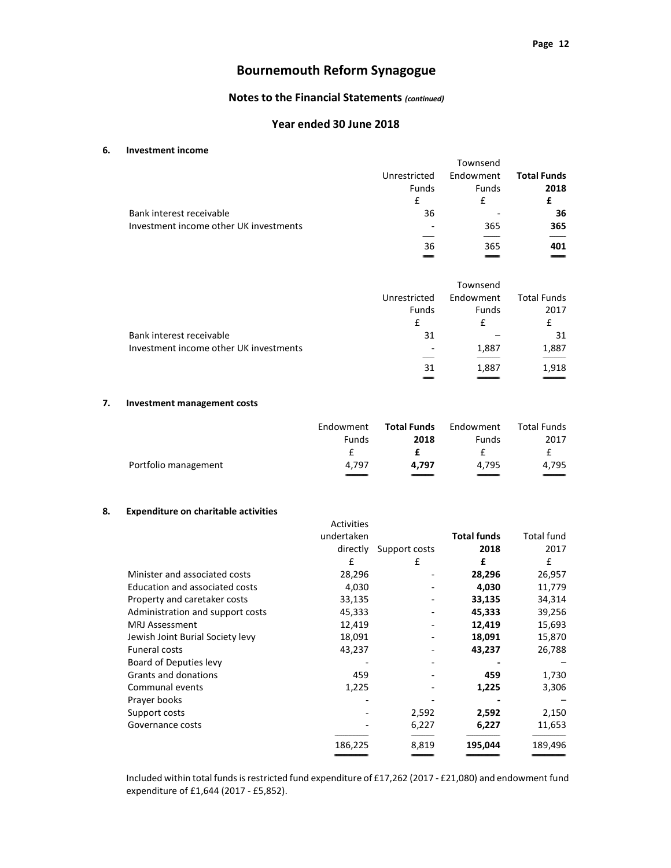## Notes to the Financial Statements (continued)

#### Year ended 30 June 2018

#### 6. Investment income

|                                        |                          | Townsend  |                    |
|----------------------------------------|--------------------------|-----------|--------------------|
|                                        | Unrestricted             | Endowment | <b>Total Funds</b> |
|                                        | Funds                    | Funds     | 2018               |
|                                        | f                        | f         |                    |
| Bank interest receivable               | 36                       |           | 36                 |
| Investment income other UK investments | $\overline{\phantom{0}}$ | 365       | 365                |
|                                        |                          |           |                    |
|                                        | 36                       | 365       | 401                |
|                                        |                          |           |                    |

|                                        |                          | Townsend     |                    |
|----------------------------------------|--------------------------|--------------|--------------------|
|                                        | Unrestricted             | Endowment    | <b>Total Funds</b> |
|                                        | Funds                    | <b>Funds</b> | 2017               |
|                                        | f                        | f            | £                  |
| Bank interest receivable               | 31                       |              | 31                 |
| Investment income other UK investments | $\overline{\phantom{0}}$ | 1,887        | 1,887              |
|                                        |                          |              |                    |
|                                        | 31                       | 1,887        | 1,918              |
|                                        |                          |              |                    |

### 7. Investment management costs

|                      | Endowment | Total Funds | Endowment | Total Funds              |
|----------------------|-----------|-------------|-----------|--------------------------|
|                      | Funds     | 2018        | Funds     | 2017                     |
|                      |           |             |           |                          |
| Portfolio management | 4.797     | 4.797       | 4.795     | 4.795                    |
|                      |           |             |           | $\overline{\phantom{a}}$ |

#### 8. Expenditure on charitable activities

|                                  | <b>Activities</b> |               |                    |                   |
|----------------------------------|-------------------|---------------|--------------------|-------------------|
|                                  | undertaken        |               | <b>Total funds</b> | <b>Total fund</b> |
|                                  | directly          | Support costs | 2018               | 2017              |
|                                  | £                 | £             | £                  | £                 |
| Minister and associated costs    | 28,296            |               | 28,296             | 26,957            |
| Education and associated costs   | 4,030             |               | 4,030              | 11,779            |
| Property and caretaker costs     | 33,135            |               | 33,135             | 34,314            |
| Administration and support costs | 45,333            |               | 45,333             | 39,256            |
| <b>MRJ Assessment</b>            | 12,419            |               | 12,419             | 15,693            |
| Jewish Joint Burial Society levy | 18,091            |               | 18,091             | 15,870            |
| <b>Funeral costs</b>             | 43,237            |               | 43,237             | 26,788            |
| Board of Deputies levy           |                   |               |                    |                   |
| Grants and donations             | 459               |               | 459                | 1,730             |
| Communal events                  | 1,225             |               | 1,225              | 3,306             |
| Prayer books                     |                   |               |                    |                   |
| Support costs                    |                   | 2,592         | 2,592              | 2,150             |
| Governance costs                 |                   | 6,227         | 6,227              | 11,653            |
|                                  | 186,225           | 8,819         | 195,044            | 189,496           |
|                                  |                   |               |                    |                   |

 Included within total funds is restricted fund expenditure of £17,262 (2017 - £21,080) and endowment fund expenditure of £1,644 (2017 - £5,852).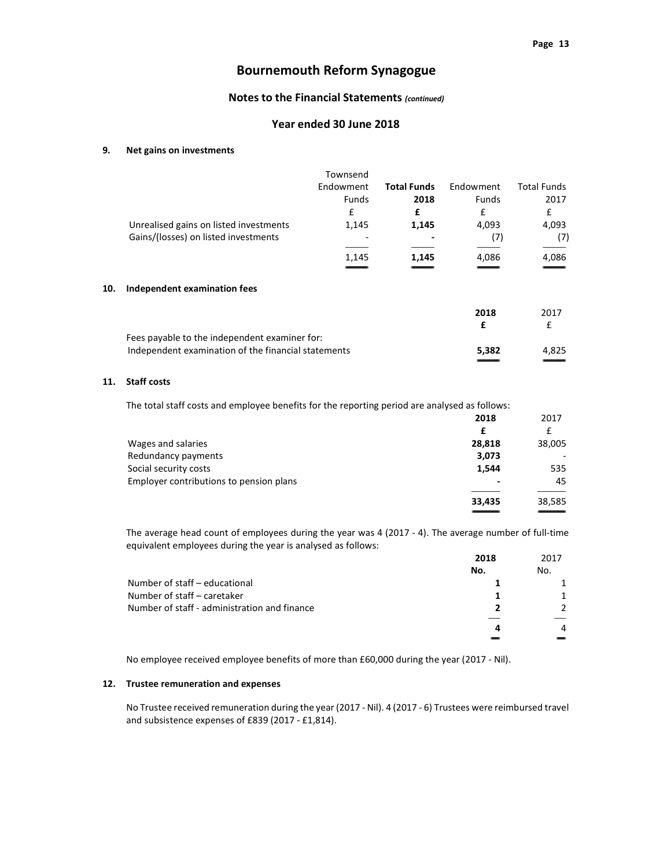## Notes to the Financial Statements (continued)

#### Year ended 30 June 2018

#### 9. Net gains on investments

|     | Unrealised gains on listed investments<br>Gains/(losses) on listed investments | Townsend<br>Endowment<br>Funds<br>£<br>1,145<br>1,145 | <b>Total Funds</b><br>2018<br>£<br>1,145<br>1.145 | Endowment<br>Funds<br>£<br>4,093<br>(7)<br>4,086 | <b>Total Funds</b><br>2017<br>£<br>4,093<br>(7)<br>4,086 |
|-----|--------------------------------------------------------------------------------|-------------------------------------------------------|---------------------------------------------------|--------------------------------------------------|----------------------------------------------------------|
| 10. | Independent examination fees                                                   |                                                       |                                                   |                                                  |                                                          |
|     |                                                                                |                                                       |                                                   | 2018<br>£                                        | 2017<br>£                                                |
|     | Fees payable to the independent examiner for:                                  |                                                       |                                                   |                                                  |                                                          |
|     | Independent examination of the financial statements                            |                                                       |                                                   | 5,382                                            | 4,825                                                    |
|     |                                                                                |                                                       |                                                   |                                                  |                                                          |

## 11. Staff costs

The total staff costs and employee benefits for the reporting period are analysed as follows:

|                                         | 2018   | 2017   |
|-----------------------------------------|--------|--------|
|                                         | £      | £      |
| Wages and salaries                      | 28,818 | 38,005 |
| Redundancy payments                     | 3,073  |        |
| Social security costs                   | 1,544  | 535    |
| Employer contributions to pension plans |        | 45     |
|                                         | 33,435 | 38,585 |
|                                         |        |        |

 The average head count of employees during the year was 4 (2017 - 4). The average number of full-time equivalent employees during the year is analysed as follows:

|                                              | 2018 | 2017          |
|----------------------------------------------|------|---------------|
|                                              | No.  | No.           |
| Number of staff - educational                |      |               |
| Number of staff - caretaker                  |      |               |
| Number of staff - administration and finance |      | $\mathcal{P}$ |
|                                              | 4    | 4             |
|                                              |      |               |

No employee received employee benefits of more than £60,000 during the year (2017 - Nil).

#### 12. Trustee remuneration and expenses

 No Trustee received remuneration during the year (2017 - Nil). 4 (2017 - 6) Trustees were reimbursed travel and subsistence expenses of £839 (2017 - £1,814).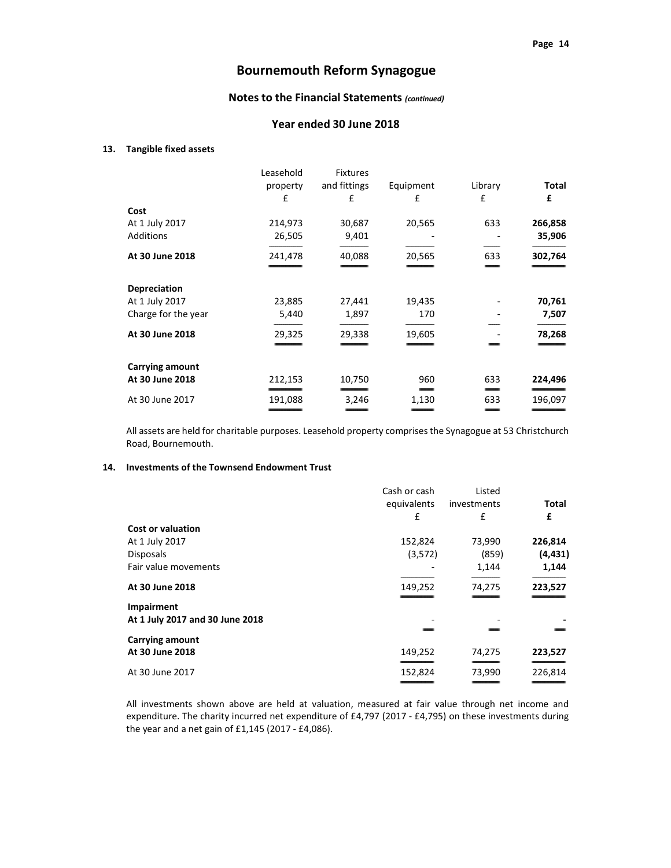## Notes to the Financial Statements (continued)

#### Year ended 30 June 2018

#### 13. Tangible fixed assets

|                        | Leasehold | <b>Fixtures</b> |           |         |              |
|------------------------|-----------|-----------------|-----------|---------|--------------|
|                        | property  | and fittings    | Equipment | Library | <b>Total</b> |
|                        | £         | £               | £         | £       | £            |
| Cost                   |           |                 |           |         |              |
| At 1 July 2017         | 214,973   | 30,687          | 20,565    | 633     | 266,858      |
| Additions              | 26,505    | 9,401           |           |         | 35,906       |
|                        |           |                 |           |         |              |
| At 30 June 2018        | 241,478   | 40,088          | 20,565    | 633     | 302,764      |
|                        |           |                 |           |         |              |
| <b>Depreciation</b>    |           |                 |           |         |              |
| At 1 July 2017         | 23,885    | 27,441          | 19,435    |         | 70,761       |
| Charge for the year    | 5,440     | 1,897           | 170       |         | 7,507        |
|                        |           |                 |           |         |              |
| At 30 June 2018        | 29,325    | 29,338          | 19,605    |         | 78,268       |
|                        |           |                 |           |         |              |
| <b>Carrying amount</b> |           |                 |           |         |              |
| At 30 June 2018        | 212,153   | 10,750          | 960       | 633     | 224,496      |
|                        |           |                 |           | __      |              |
| At 30 June 2017        | 191,088   | 3,246           | 1,130     | 633     | 196,097      |
|                        |           |                 |           |         |              |

 All assets are held for charitable purposes. Leasehold property comprises the Synagogue at 53 Christchurch Road, Bournemouth.

## 14. Investments of the Townsend Endowment Trust

|                                 | Cash or cash | Listed      |              |
|---------------------------------|--------------|-------------|--------------|
|                                 | equivalents  | investments | <b>Total</b> |
|                                 | £            | £           | £            |
| <b>Cost or valuation</b>        |              |             |              |
| At 1 July 2017                  | 152,824      | 73,990      | 226,814      |
| <b>Disposals</b>                | (3,572)      | (859)       | (4, 431)     |
| Fair value movements            |              | 1,144       | 1,144        |
| At 30 June 2018                 | 149,252      | 74,275      | 223,527      |
| Impairment                      |              |             |              |
| At 1 July 2017 and 30 June 2018 |              |             |              |
| <b>Carrying amount</b>          |              |             |              |
| At 30 June 2018                 | 149,252      | 74,275      | 223,527      |
| At 30 June 2017                 | 152,824      | 73,990      | 226,814      |
|                                 |              |             |              |

All investments shown above are held at valuation, measured at fair value through net income and expenditure. The charity incurred net expenditure of £4,797 (2017 - £4,795) on these investments during the year and a net gain of £1,145 (2017 - £4,086).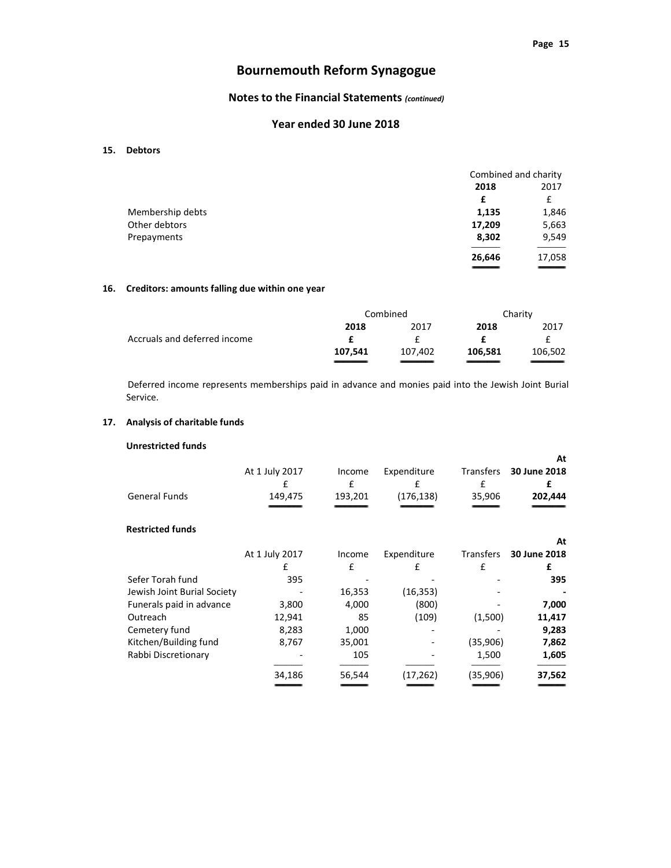# Notes to the Financial Statements (continued)

## Year ended 30 June 2018

#### 15. Debtors

|                  |        | Combined and charity |  |
|------------------|--------|----------------------|--|
|                  | 2018   | 2017                 |  |
|                  | £      | £                    |  |
| Membership debts | 1,135  | 1,846                |  |
| Other debtors    | 17,209 | 5,663                |  |
| Prepayments      | 8,302  | 9,549                |  |
|                  | 26,646 | 17,058               |  |
|                  |        | _______              |  |

### 16. Creditors: amounts falling due within one year

|                              | Combined |         | Charity |         |
|------------------------------|----------|---------|---------|---------|
|                              | 2018     | 2017    | 2018    | 2017    |
| Accruals and deferred income |          |         |         |         |
|                              | 107.541  | 107.402 | 106.581 | 106,502 |
|                              |          |         |         |         |

Deferred income represents memberships paid in advance and monies paid into the Jewish Joint Burial Service.

#### 17. Analysis of charitable funds

## Unrestricted funds

| At 1 July 2017<br>£<br>149,475 | Income<br>£<br>193,201 | Expenditure<br>£<br>(176, 138) | Transfers<br>£<br>35,906 | At<br>30 June 2018<br>£<br>202,444 |
|--------------------------------|------------------------|--------------------------------|--------------------------|------------------------------------|
|                                |                        |                                |                          |                                    |
| At 1 July 2017                 | Income                 | Expenditure                    | Transfers                | At<br>30 June 2018                 |
| £                              | £                      | £                              | £                        | £                                  |
| 395                            |                        |                                |                          | 395                                |
|                                | 16,353                 | (16, 353)                      |                          |                                    |
| 3,800                          | 4,000                  | (800)                          |                          | 7,000                              |
| 12,941                         | 85                     | (109)                          | (1,500)                  | 11,417                             |
| 8,283                          | 1,000                  |                                |                          | 9,283                              |
| 8,767                          | 35,001                 |                                | (35,906)                 | 7,862                              |
|                                | 105                    |                                | 1,500                    | 1,605                              |
| 34,186                         | 56,544                 | (17,262)                       | (35,906)                 | 37,562                             |
|                                |                        |                                |                          |                                    |